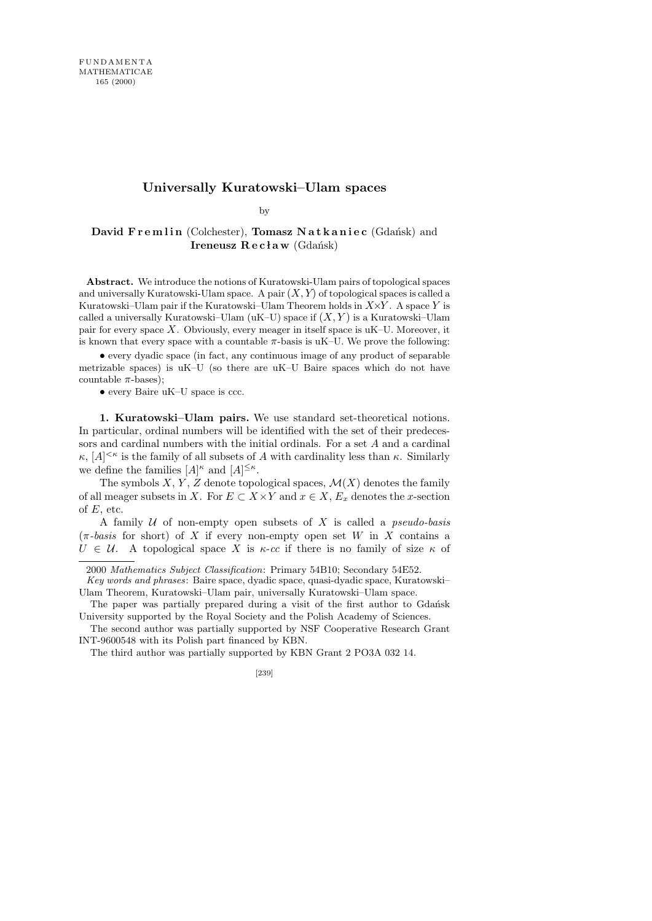## **Universally Kuratowski–Ulam spaces**

by

## David Fremlin (Colchester), Tomasz Natkaniec (Gdańsk) and Ireneusz  $\mathbf{R} \in \mathbf{claw}$  (Gdańsk)

**Abstract.** We introduce the notions of Kuratowski-Ulam pairs of topological spaces and universally Kuratowski-Ulam space. A pair  $(X, Y)$  of topological spaces is called a Kuratowski–Ulam pair if the Kuratowski–Ulam Theorem holds in  $X\times Y$ . A space Y is called a universally Kuratowski–Ulam (uK–U) space if  $(X, Y)$  is a Kuratowski–Ulam pair for every space  $X$ . Obviously, every meager in itself space is  $uK-U$ . Moreover, it is known that every space with a countable  $\pi$ -basis is uK–U. We prove the following:

• every dyadic space (in fact, any continuous image of any product of separable metrizable spaces) is uK–U (so there are uK–U Baire spaces which do not have countable  $\pi$ -bases);

• every Baire uK–U space is ccc.

1. Kuratowski–Ulam pairs. We use standard set-theoretical notions. In particular, ordinal numbers will be identified with the set of their predecessors and cardinal numbers with the initial ordinals. For a set A and a cardinal  $\kappa$ ,  $[A]^{<\kappa}$  is the family of all subsets of A with cardinality less than  $\kappa$ . Similarly we define the families  $[A]^{\kappa}$  and  $[A]^{\leq \kappa}$ .

The symbols  $X, Y, Z$  denote topological spaces,  $\mathcal{M}(X)$  denotes the family of all meager subsets in X. For  $E \subset X \times Y$  and  $x \in X$ ,  $E_x$  denotes the x-section of  $E$ , etc.

A family  $U$  of non-empty open subsets of X is called a *pseudo-basis*  $(\pi$ -basis for short) of X if every non-empty open set W in X contains a  $U \in \mathcal{U}$ . A topological space X is  $\kappa$ -cc if there is no family of size  $\kappa$  of

<sup>2000</sup> *Mathematics Subject Classification*: Primary 54B10; Secondary 54E52.

*Key words and phrases*: Baire space, dyadic space, quasi-dyadic space, Kuratowski– Ulam Theorem, Kuratowski–Ulam pair, universally Kuratowski–Ulam space.

The paper was partially prepared during a visit of the first author to Gdańsk University supported by the Royal Society and the Polish Academy of Sciences.

The second author was partially supported by NSF Cooperative Research Grant INT-9600548 with its Polish part financed by KBN.

The third author was partially supported by KBN Grant 2 PO3A 032 14.

<sup>[239]</sup>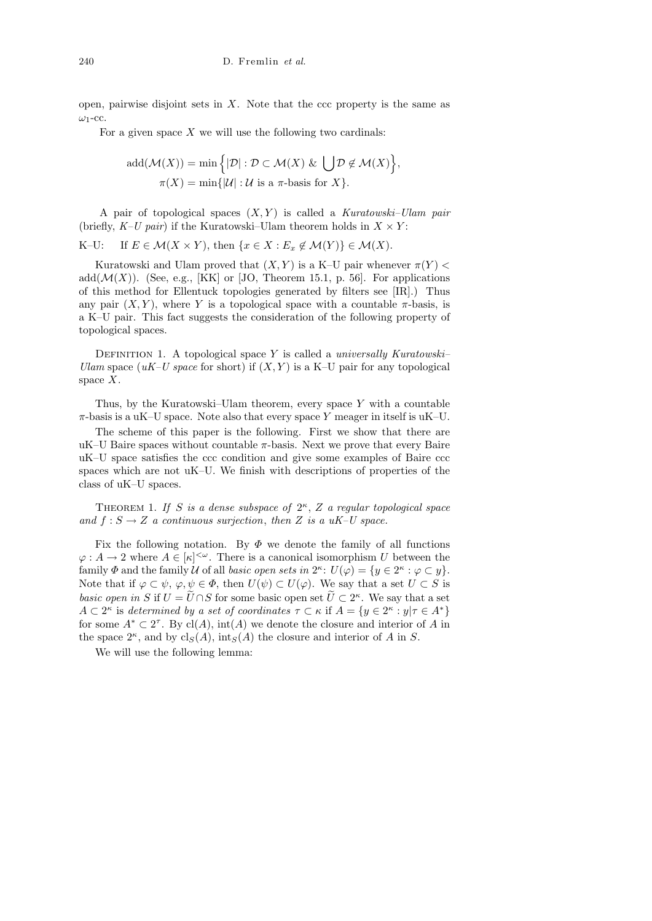open, pairwise disjoint sets in  $X$ . Note that the ccc property is the same as  $\omega_1$ -cc.

For a given space  $X$  we will use the following two cardinals:

$$
add(\mathcal{M}(X)) = \min\Big\{|\mathcal{D}| : \mathcal{D} \subset \mathcal{M}(X) \& \bigcup \mathcal{D} \notin \mathcal{M}(X) \Big\},\
$$

$$
\pi(X) = \min\{|\mathcal{U}| : \mathcal{U} \text{ is a } \pi\text{-basis for } X\}.
$$

A pair of topological spaces  $(X, Y)$  is called a Kuratowski–Ulam pair (briefly,  $K-U$  pair) if the Kuratowski–Ulam theorem holds in  $X \times Y$ :

K–U: If  $E \in \mathcal{M}(X \times Y)$ , then  $\{x \in X : E_x \notin \mathcal{M}(Y)\} \in \mathcal{M}(X)$ .

Kuratowski and Ulam proved that  $(X, Y)$  is a K–U pair whenever  $\pi(Y)$  < add $(\mathcal{M}(X))$ . (See, e.g., [KK] or [JO, Theorem 15.1, p. 56]. For applications of this method for Ellentuck topologies generated by filters see [IR].) Thus any pair  $(X, Y)$ , where Y is a topological space with a countable  $\pi$ -basis, is a K–U pair. This fact suggests the consideration of the following property of topological spaces.

DEFINITION 1. A topological space Y is called a universally Kuratowski– Ulam space (uK–U space for short) if  $(X, Y)$  is a K–U pair for any topological space  $X$ .

Thus, by the Kuratowski–Ulam theorem, every space  $Y$  with a countable  $\pi$ -basis is a uK–U space. Note also that every space Y meager in itself is uK–U.

The scheme of this paper is the following. First we show that there are uK–U Baire spaces without countable  $\pi$ -basis. Next we prove that every Baire uK–U space satisfies the ccc condition and give some examples of Baire ccc spaces which are not uK–U. We finish with descriptions of properties of the class of uK–U spaces.

THEOREM 1. If S is a dense subspace of  $2^{\kappa}$ , Z a regular topological space and  $f : S \to Z$  a continuous surjection, then Z is a uK–U space.

Fix the following notation. By  $\Phi$  we denote the family of all functions  $\varphi: A \to 2$  where  $A \in [\kappa]^{<\omega}$ . There is a canonical isomorphism U between the family  $\Phi$  and the family U of all basic open sets in  $2^{\kappa}$ :  $U(\varphi) = \{y \in 2^{\kappa} : \varphi \subset y\}.$ Note that if  $\varphi \subset \psi$ ,  $\varphi, \psi \in \Phi$ , then  $U(\psi) \subset U(\varphi)$ . We say that a set  $U \subset S$  is basic open in S if  $U = \tilde{U} \cap S$  for some basic open set  $\tilde{U} \subset 2^{\kappa}$ . We say that a set  $A \subset 2^{\kappa}$  is determined by a set of coordinates  $\tau \subset \kappa$  if  $A = \{y \in 2^{\kappa} : y | \tau \in A^*\}$ for some  $A^* \subset 2^{\tau}$ . By cl(A), int(A) we denote the closure and interior of A in the space  $2^{\kappa}$ , and by  $\text{cl}_S(A)$ , int<sub>S</sub>(A) the closure and interior of A in S.

We will use the following lemma: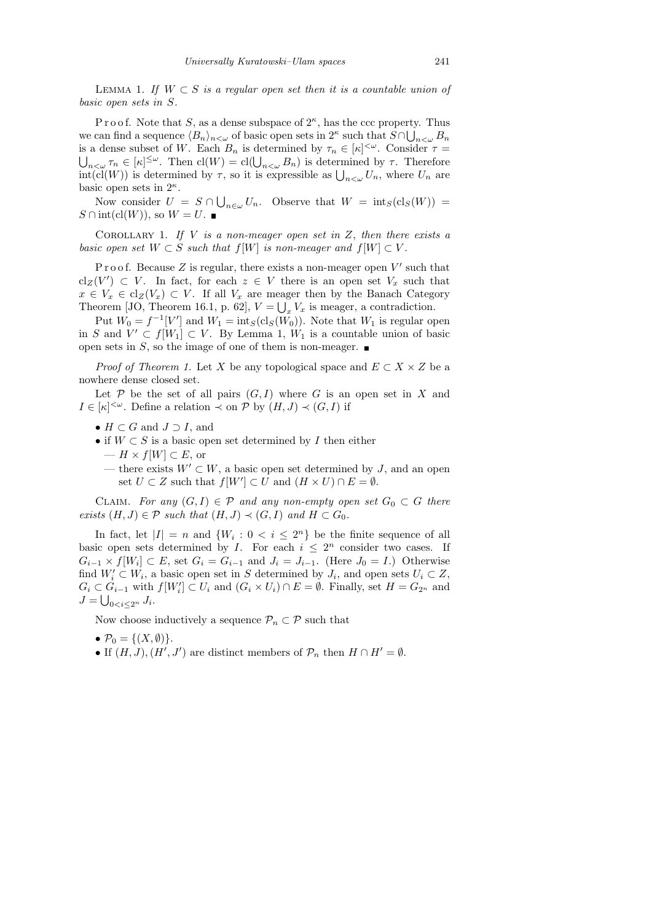LEMMA 1. If  $W \subset S$  is a regular open set then it is a countable union of basic open sets in S.

Proof. Note that S, as a dense subspace of  $2^{\kappa}$ , has the ccc property. Thus we can find a sequence  $\langle B_n \rangle_{n \leq \omega}$  of basic open sets in 2<sup>κ</sup> such that  $S \cap \bigcup_{n \leq \omega} B_n$ is a dense subset of W. Each  $B_n$  is determined by  $\tau_n \in [\kappa]^{<\omega}$ . Consider  $\tau =$  $\bigcup_{n<\omega}\tau_n\in[\kappa]^{\leq\omega}$ . Then  $\text{cl}(W)=\text{cl}(\bigcup_{n<\omega}B_n)$  is determined by  $\tau$ . Therefore  $int(cl(W))$  is determined by  $\tau$ , so it is expressible as  $\bigcup_{n<\omega} U_n$ , where  $U_n$  are basic open sets in  $2^{\kappa}$ .

Now consider  $U = S \cap \bigcup_{n \in \omega} U_n$ . Observe that  $W = \text{int}_S(\text{cl}_S(W))$  $S \cap \text{int}(\text{cl}(W))$ , so  $W = U$ .

COROLLARY 1. If V is a non-meager open set in  $Z$ , then there exists a basic open set  $W \subset S$  such that  $f[W]$  is non-meager and  $f[W] \subset V$ .

Proof. Because  $Z$  is regular, there exists a non-meager open  $V'$  such that  $\operatorname{cl}_{Z}(V') \subset V$ . In fact, for each  $z \in V$  there is an open set  $V_x$  such that  $x \in V_x \in \text{cl}_Z(V_x) \subset V$ . If all  $V_x$  are meager then by the Banach Category Theorem [JO, Theorem 16.1, p. 62],  $V = \bigcup_x V_x$  is meager, a contradiction.

Put  $W_0 = f^{-1}[V']$  and  $W_1 = \text{int}_S(\text{cl}_S(W_0))$ . Note that  $W_1$  is regular open in S and  $V' \subset f[W_1] \subset V$ . By Lemma 1,  $W_1$  is a countable union of basic open sets in S, so the image of one of them is non-meager.

*Proof of Theorem 1.* Let X be any topological space and  $E \subset X \times Z$  be a nowhere dense closed set.

Let  $P$  be the set of all pairs  $(G, I)$  where G is an open set in X and  $I \in [\kappa]^{<\omega}$ . Define a relation  $\prec$  on  $P$  by  $(H, J) \prec (G, I)$  if

- $H \subset G$  and  $J \supset I$ , and
- if  $W \subset S$  is a basic open set determined by I then either  $- H \times f[W] \subset E$ , or
	- there exists  $W' \subset W$ , a basic open set determined by J, and an open set  $U \subset Z$  such that  $f[W'] \subset U$  and  $(H \times U) \cap E = \emptyset$ .

CLAIM. For any  $(G, I) \in \mathcal{P}$  and any non-empty open set  $G_0 \subset G$  there exists  $(H, J) \in \mathcal{P}$  such that  $(H, J) \prec (G, I)$  and  $H \subset G_0$ .

In fact, let  $|I| = n$  and  $\{W_i : 0 \le i \le 2^n\}$  be the finite sequence of all basic open sets determined by I. For each  $i \leq 2^n$  consider two cases. If  $G_{i-1} \times f[W_i] \subset E$ , set  $G_i = G_{i-1}$  and  $J_i = J_{i-1}$ . (Here  $J_0 = I$ .) Otherwise find  $W_i' \subset W_i$ , a basic open set in S determined by  $J_i$ , and open sets  $U_i \subset Z$ ,  $G_i \subset G_{i-1}$  with  $f[W'_i] \subset U_i$  and  $(G_i \times U_i) \cap E = \emptyset$ . Finally, set  $H = G_{2^n}$  and  $J=\bigcup_{0$ 

Now choose inductively a sequence  $\mathcal{P}_n \subset \mathcal{P}$  such that

- $\mathcal{P}_0 = \{(X, \emptyset)\}.$
- If  $(H, J), (H', J')$  are distinct members of  $\mathcal{P}_n$  then  $H \cap H' = \emptyset$ .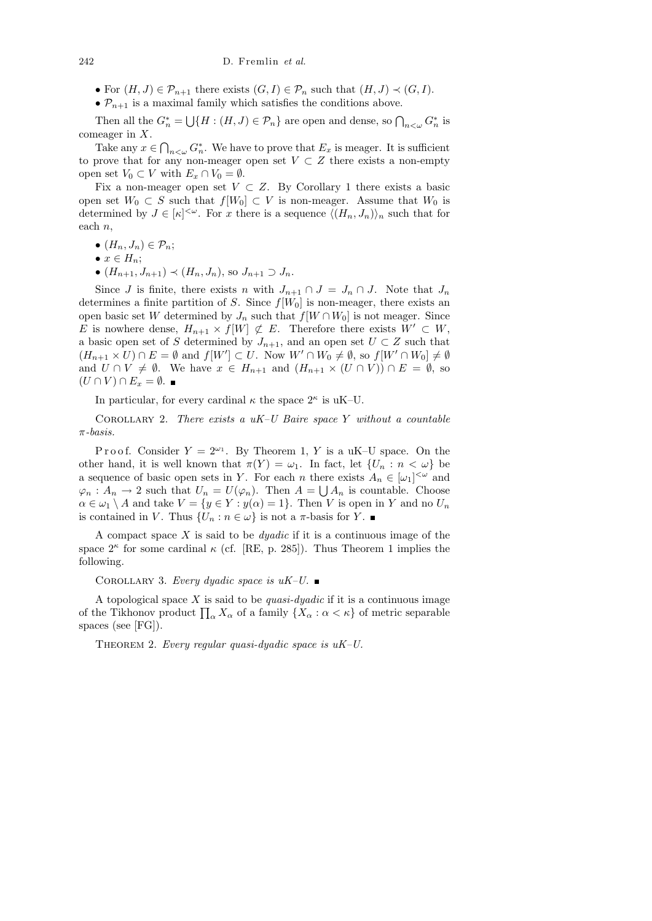- For  $(H, J) \in \mathcal{P}_{n+1}$  there exists  $(G, I) \in \mathcal{P}_n$  such that  $(H, J) \prec (G, I)$ .
- $\mathcal{P}_{n+1}$  is a maximal family which satisfies the conditions above.

Then all the  $G_n^* = \bigcup \{H : (H, J) \in \mathcal{P}_n\}$  are open and dense, so  $\bigcap_{n < \omega} G_n^*$  is comeager in X.

Take any  $x \in \bigcap_{n<\omega} G_n^*$ . We have to prove that  $E_x$  is meager. It is sufficient to prove that for any non-meager open set  $V \subset Z$  there exists a non-empty open set  $V_0 \subset V$  with  $E_x \cap V_0 = \emptyset$ .

Fix a non-meager open set  $V \subset Z$ . By Corollary 1 there exists a basic open set  $W_0 \subset S$  such that  $f[W_0] \subset V$  is non-meager. Assume that  $W_0$  is determined by  $J \in [\kappa]^{<\omega}$ . For x there is a sequence  $\langle (H_n, J_n) \rangle_n$  such that for each n,

- $(H_n, J_n) \in \mathcal{P}_n$ ;
- $x \in H_n$ ;
- $(H_{n+1}, J_{n+1}) \prec (H_n, J_n)$ , so  $J_{n+1} \supset J_n$ .

Since J is finite, there exists n with  $J_{n+1} \cap J = J_n \cap J$ . Note that  $J_n$ determines a finite partition of S. Since  $f[W_0]$  is non-meager, there exists an open basic set W determined by  $J_n$  such that  $f[W \cap W_0]$  is not meager. Since E is nowhere dense,  $H_{n+1} \times f[W] \not\subset E$ . Therefore there exists  $W' \subset W$ , a basic open set of S determined by  $J_{n+1}$ , and an open set  $U \subset Z$  such that  $(H_{n+1} \times U) \cap E = \emptyset$  and  $f[W'] \subset U$ . Now  $W' \cap W_0 \neq \emptyset$ , so  $f[W' \cap W_0] \neq \emptyset$ and  $U \cap V \neq \emptyset$ . We have  $x \in H_{n+1}$  and  $(H_{n+1} \times (U \cap V)) \cap E = \emptyset$ , so  $(U \cap V) \cap E_x = \emptyset$ .

In particular, for every cardinal  $\kappa$  the space  $2^{\kappa}$  is uK-U.

COROLLARY 2. There exists a  $uK-U$  Baire space Y without a countable  $\pi$ -basis.

Proof. Consider  $Y = 2^{\omega_1}$ . By Theorem 1, Y is a uK-U space. On the other hand, it is well known that  $\pi(Y) = \omega_1$ . In fact, let  $\{U_n : n < \omega\}$  be a sequence of basic open sets in Y. For each n there exists  $A_n \in [\omega_1]^{<\omega}$  and  $\varphi_n: A_n \to 2$  such that  $U_n = U(\varphi_n)$ . Then  $A = \bigcup A_n$  is countable. Choose  $\alpha \in \omega_1 \setminus A$  and take  $V = \{y \in Y : y(\alpha) = 1\}$ . Then V is open in Y and no  $U_n$ is contained in V. Thus  $\{U_n : n \in \omega\}$  is not a  $\pi$ -basis for Y.

A compact space  $X$  is said to be *dyadic* if it is a continuous image of the space  $2^{\kappa}$  for some cardinal  $\kappa$  (cf. [RE, p. 285]). Thus Theorem 1 implies the following.

COROLLARY 3. Every dyadic space is  $uK-U$ .

A topological space  $X$  is said to be quasi-dyadic if it is a continuous image of the Tikhonov product  $\prod_{\alpha} X_{\alpha}$  of a family  $\{X_{\alpha} : \alpha < \kappa\}$  of metric separable spaces (see [FG]).

THEOREM 2. Every regular quasi-duadic space is  $uK-U$ .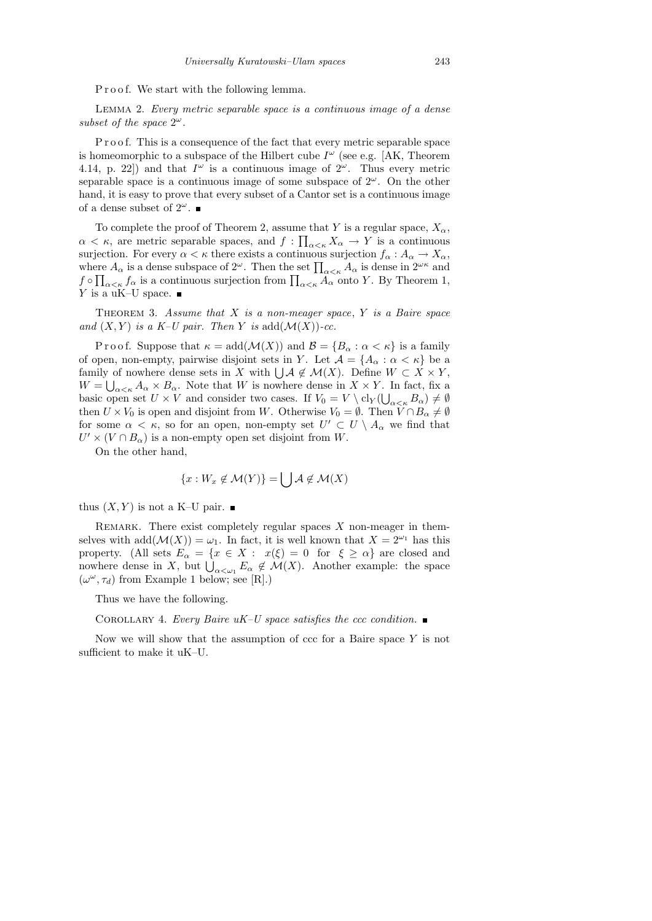Proof. We start with the following lemma.

Lemma 2. Every metric separable space is a continuous image of a dense subset of the space  $2^{\omega}$ .

P r o o f. This is a consequence of the fact that every metric separable space is homeomorphic to a subspace of the Hilbert cube  $I^{\omega}$  (see e.g. [AK, Theorem 4.14, p. 22) and that  $I^{\omega}$  is a continuous image of  $2^{\omega}$ . Thus every metric separable space is a continuous image of some subspace of  $2^{\omega}$ . On the other hand, it is easy to prove that every subset of a Cantor set is a continuous image of a dense subset of  $2^{\omega}$ .

To complete the proof of Theorem 2, assume that Y is a regular space,  $X_{\alpha}$ ,  $\alpha < \kappa$ , are metric separable spaces, and  $f : \prod_{\alpha<\kappa} X_{\alpha} \to Y$  is a continuous surjection. For every  $\alpha < \kappa$  there exists a continuous surjection  $f_{\alpha}: A_{\alpha} \to X_{\alpha}$ , where  $A_{\alpha}$  is a dense subspace of  $2^{\omega}$ . Then the set  $\prod_{\alpha<\kappa}A_{\alpha}$  is dense in  $2^{\omega\kappa}$  and  $f \circ \prod_{\alpha < \kappa} f_\alpha$  is a continuous surjection from  $\prod_{\alpha < \kappa} A_\alpha$  onto Y. By Theorem 1, Y is a uK–U space.  $\blacksquare$ 

THEOREM 3. Assume that  $X$  is a non-meager space,  $Y$  is a Baire space and  $(X, Y)$  is a K–U pair. Then Y is add $(\mathcal{M}(X))$ -cc.

Proof. Suppose that  $\kappa = \text{add}(\mathcal{M}(X))$  and  $\mathcal{B} = \{B_\alpha : \alpha < \kappa\}$  is a family of open, non-empty, pairwise disjoint sets in Y. Let  $\mathcal{A} = \{A_{\alpha} : \alpha < \kappa\}$  be a family of nowhere dense sets in X with  $\bigcup \mathcal{A} \notin \mathcal{M}(X)$ . Define  $W \subset X \times Y$ ,  $W = \bigcup_{\alpha < \kappa} A_{\alpha} \times B_{\alpha}$ . Note that W is nowhere dense in  $X \times Y$ . In fact, fix a basic open set  $U \times V$  and consider two cases. If  $V_0 = V \setminus cl_Y(\bigcup_{\alpha < \kappa} B_\alpha) \neq \emptyset$ then  $U \times V_0$  is open and disjoint from W. Otherwise  $V_0 = \emptyset$ . Then  $V \cap B_\alpha \neq \emptyset$ for some  $\alpha < \kappa$ , so for an open, non-empty set  $U' \subset U \setminus A_\alpha$  we find that  $U' \times (V \cap B_{\alpha})$  is a non-empty open set disjoint from W.

On the other hand,

$$
\{x: W_x \notin \mathcal{M}(Y)\} = \bigcup \mathcal{A} \notin \mathcal{M}(X)
$$

thus  $(X, Y)$  is not a K–U pair.

REMARK. There exist completely regular spaces  $X$  non-meager in themselves with  $add(\mathcal{M}(X)) = \omega_1$ . In fact, it is well known that  $X = 2^{\omega_1}$  has this property. (All sets  $E_{\alpha} = \{x \in X : x(\xi) = 0 \text{ for } \xi \ge \alpha\}$  are closed and nowhere dense in X, but  $\bigcup_{\alpha<\omega_1} E_{\alpha} \notin \mathcal{M}(X)$ . Another example: the space  $(\omega^{\omega}, \tau_d)$  from Example 1 below; see [R].)

Thus we have the following.

COROLLARY 4. Every Baire  $uK-U$  space satisfies the ccc condition.

Now we will show that the assumption of  $\operatorname{ccc}$  for a Baire space Y is not sufficient to make it uK–U.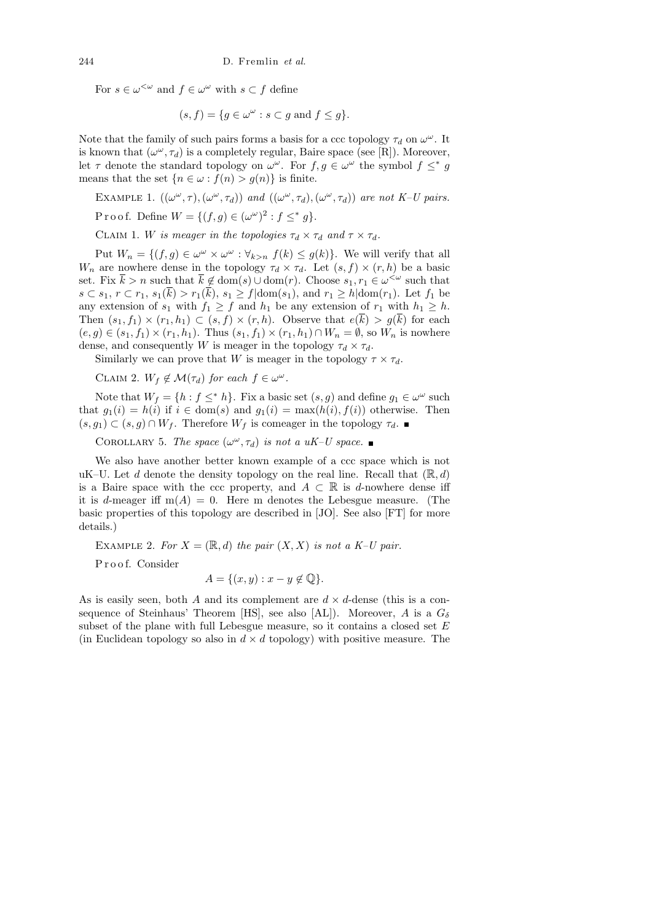For  $s \in \omega^{\leq \omega}$  and  $f \in \omega^\omega$  with  $s \subset f$  define

$$
(s, f) = \{ g \in \omega^{\omega} : s \subset g \text{ and } f \le g \}.
$$

Note that the family of such pairs forms a basis for a ccc topology  $\tau_d$  on  $\omega^{\omega}$ . It is known that  $(\omega^{\omega}, \tau_d)$  is a completely regular, Baire space (see [R]). Moreover, let  $\tau$  denote the standard topology on  $\omega^{\omega}$ . For  $f, g \in \omega^{\omega}$  the symbol  $f \leq^* g$ means that the set  $\{n \in \omega : f(n) > g(n)\}\$ is finite.

EXAMPLE 1.  $((\omega^{\omega}, \tau), (\omega^{\omega}, \tau_d))$  and  $((\omega^{\omega}, \tau_d), (\omega^{\omega}, \tau_d))$  are not K-U pairs. Proof. Define  $W = \{(f, g) \in (\omega^\omega)^2 : f \leq^* g\}.$ 

CLAIM 1. W is meager in the topologies  $\tau_d \times \tau_d$  and  $\tau \times \tau_d$ .

Put  $W_n = \{(f, g) \in \omega^\omega \times \omega^\omega : \forall_{k>n} f(k) \leq g(k)\}\.$  We will verify that all  $W_n$  are nowhere dense in the topology  $\tau_d \times \tau_d$ . Let  $(s, f) \times (r, h)$  be a basic set. Fix  $\bar{k} > n$  such that  $\bar{k} \notin \text{dom}(s) \cup \text{dom}(r)$ . Choose  $s_1, r_1 \in \omega^{\leq \omega}$  such that  $s \subset s_1$ ,  $r \subset r_1$ ,  $s_1(\overline{k}) > r_1(\overline{k})$ ,  $s_1 \ge f | \text{dom}(s_1)$ , and  $r_1 \ge h | \text{dom}(r_1)$ . Let  $f_1$  be any extension of  $s_1$  with  $f_1 \geq f$  and  $h_1$  be any extension of  $r_1$  with  $h_1 \geq h$ . Then  $(s_1, f_1) \times (r_1, h_1) \subset (s, f) \times (r, h)$ . Observe that  $e(\overline{k}) > g(\overline{k})$  for each  $(e, g) \in (s_1, f_1) \times (r_1, h_1)$ . Thus  $(s_1, f_1) \times (r_1, h_1) \cap W_n = \emptyset$ , so  $W_n$  is nowhere dense, and consequently W is meager in the topology  $\tau_d \times \tau_d$ .

Similarly we can prove that W is meager in the topology  $\tau \times \tau_d$ .

CLAIM 2.  $W_f \notin \mathcal{M}(\tau_d)$  for each  $f \in \omega^\omega$ .

Note that  $W_f = \{h : f \leq^* h\}$ . Fix a basic set  $(s, g)$  and define  $g_1 \in \omega^\omega$  such that  $g_1(i) = h(i)$  if  $i \in \text{dom}(s)$  and  $g_1(i) = \max(h(i), f(i))$  otherwise. Then  $(s, g_1) \subset (s, g) \cap W_f$ . Therefore  $W_f$  is comeager in the topology  $\tau_d$ .

COROLLARY 5. The space  $(\omega^{\omega}, \tau_d)$  is not a uK-U space.

We also have another better known example of a ccc space which is not uK–U. Let d denote the density topology on the real line. Recall that  $(\mathbb{R}, d)$ is a Baire space with the ccc property, and  $A \subset \mathbb{R}$  is d-nowhere dense iff it is d-meager iff  $m(A) = 0$ . Here m denotes the Lebesgue measure. (The basic properties of this topology are described in [JO]. See also [FT] for more details.)

EXAMPLE 2. For  $X = (\mathbb{R}, d)$  the pair  $(X, X)$  is not a K–U pair.

P r o o f. Consider

$$
A = \{(x, y) : x - y \notin \mathbb{Q}\}.
$$

As is easily seen, both A and its complement are  $d \times d$ -dense (this is a consequence of Steinhaus' Theorem [HS], see also [AL]). Moreover, A is a  $G_{\delta}$ subset of the plane with full Lebesgue measure, so it contains a closed set  $E$ (in Euclidean topology so also in  $d \times d$  topology) with positive measure. The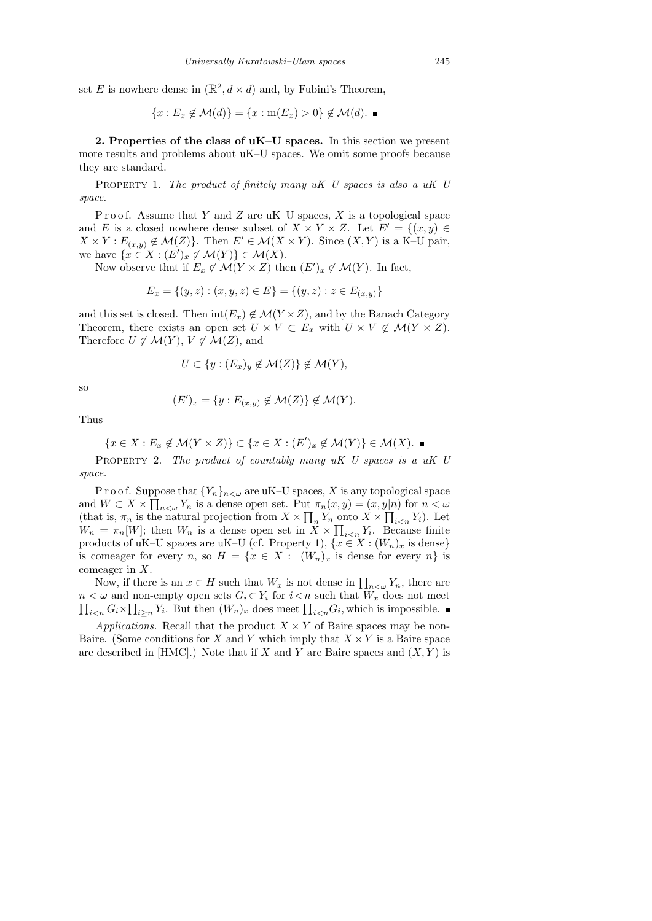set E is nowhere dense in  $(\mathbb{R}^2, d \times d)$  and, by Fubini's Theorem,

$$
\{x: E_x \notin \mathcal{M}(d)\} = \{x: \mathrm{m}(E_x) > 0\} \notin \mathcal{M}(d). \blacksquare
$$

2. Properties of the class of  $uK-U$  spaces. In this section we present more results and problems about uK–U spaces. We omit some proofs because they are standard.

PROPERTY 1. The product of finitely many  $uK-U$  spaces is also a  $uK-U$ space.

Proof. Assume that Y and Z are uK–U spaces, X is a topological space and E is a closed nowhere dense subset of  $X \times Y \times Z$ . Let  $E' = \{(x, y) \in$  $X \times Y : E_{(x,y)} \notin \mathcal{M}(Z)$ . Then  $E' \in \mathcal{M}(X \times Y)$ . Since  $(X,Y)$  is a K–U pair, we have  $\{x \in X : (E')_x \notin \mathcal{M}(Y)\} \in \mathcal{M}(X)$ .

Now observe that if  $E_x \notin \mathcal{M}(Y \times Z)$  then  $(E')_x \notin \mathcal{M}(Y)$ . In fact,

$$
E_x = \{(y, z) : (x, y, z) \in E\} = \{(y, z) : z \in E_{(x, y)}\}
$$

and this set is closed. Then  $\text{int}(E_x) \notin \mathcal{M}(Y \times Z)$ , and by the Banach Category Theorem, there exists an open set  $U \times V \subset E_x$  with  $U \times V \notin \mathcal{M}(Y \times Z)$ . Therefore  $U \notin \mathcal{M}(Y)$ ,  $V \notin \mathcal{M}(Z)$ , and

$$
U \subset \{y : (E_x)_y \notin \mathcal{M}(Z)\} \notin \mathcal{M}(Y),
$$

so

$$
(E')_x = \{ y : E_{(x,y)} \notin \mathcal{M}(Z) \} \notin \mathcal{M}(Y).
$$

Thus

$$
\{x \in X : E_x \notin \mathcal{M}(Y \times Z)\} \subset \{x \in X : (E')_x \notin \mathcal{M}(Y)\} \in \mathcal{M}(X).
$$

PROPERTY 2. The product of countably many  $uK-U$  spaces is a  $uK-U$ space.

P r o o f. Suppose that  ${Y_n}_{n<\omega}$  are uK–U spaces, X is any topological space and  $W \subset X \times \prod_{n \leq \omega} Y_n$  is a dense open set. Put  $\pi_n(x, y) = (x, y | n)$  for  $n \leq \omega$ (that is,  $\pi_n$  is the natural projection from  $X \times \prod_n Y_n$  onto  $X \times \prod_{i \leq n} Y_i$ ). Let  $W_n = \pi_n[W]$ ; then  $W_n$  is a dense open set in  $X \times \prod_{i \leq n} Y_i$ . Because finite products of uK–U spaces are uK–U (cf. Property 1),  $\{x \in X : (W_n)_x \text{ is dense}\}\$ is comeager for every n, so  $H = \{x \in X : (W_n)_x$  is dense for every n} is comeager in X.

Now, if there is an  $x \in H$  such that  $W_x$  is not dense in  $\prod_{n<\omega} Y_n$ , there are  $n < \omega$  and non-empty open sets  $G_i \subset Y_i$  for  $i < n$  such that  $W_x$  does not meet  $\prod_{i\leq n} G_i \times \prod_{i\geq n} Y_i$ . But then  $(W_n)_x$  does meet  $\prod_{i\leq n} G_i$ , which is impossible.

Applications. Recall that the product  $X \times Y$  of Baire spaces may be non-Baire. (Some conditions for X and Y which imply that  $X \times Y$  is a Baire space are described in [HMC].) Note that if X and Y are Baire spaces and  $(X, Y)$  is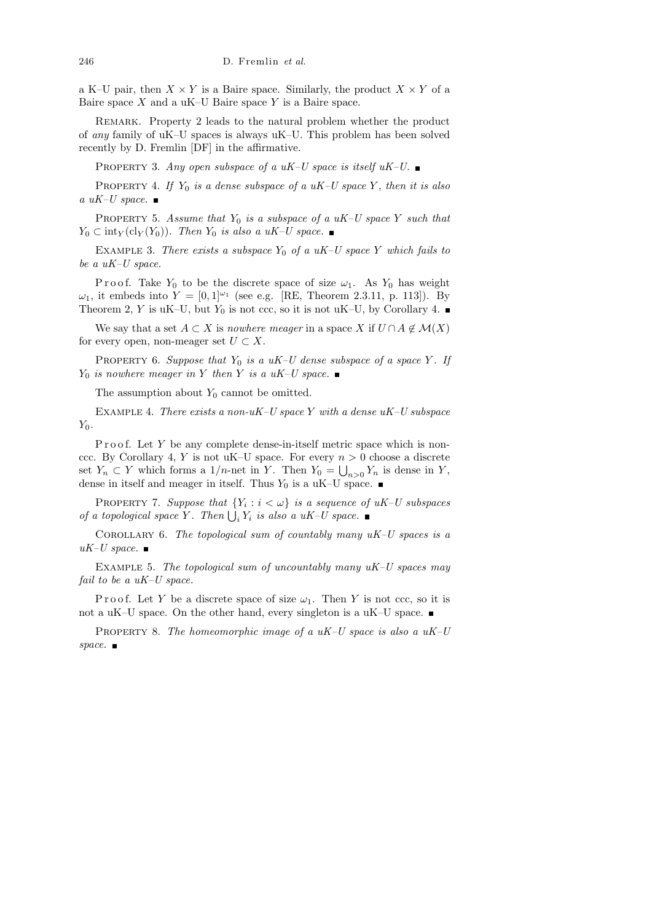a K–U pair, then  $X \times Y$  is a Baire space. Similarly, the product  $X \times Y$  of a Baire space  $X$  and a uK–U Baire space  $Y$  is a Baire space.

Remark. Property 2 leads to the natural problem whether the product of any family of uK–U spaces is always uK–U. This problem has been solved recently by D. Fremlin [DF] in the affirmative.

PROPERTY 3. Any open subspace of a uK–U space is itself  $uK-U$ .

PROPERTY 4. If  $Y_0$  is a dense subspace of a uK–U space Y, then it is also a uK–U space.  $\blacksquare$ 

PROPERTY 5. Assume that  $Y_0$  is a subspace of a uK–U space Y such that  $Y_0 \subset \text{int}_Y(\text{cl}_Y(Y_0)).$  Then  $Y_0$  is also a uK–U space.

EXAMPLE 3. There exists a subspace  $Y_0$  of a uK–U space Y which fails to be a uK–U space.

P r o o f. Take  $Y_0$  to be the discrete space of size  $\omega_1$ . As  $Y_0$  has weight  $\omega_1$ , it embeds into  $Y = [0, 1]^{2}$  (see e.g. [RE, Theorem 2.3.11, p. 113]). By Theorem 2, Y is uK–U, but  $Y_0$  is not ccc, so it is not uK–U, by Corollary 4.

We say that a set  $A \subset X$  is nowhere meager in a space X if  $U \cap A \notin \mathcal{M}(X)$ for every open, non-meager set  $U \subset X$ .

PROPERTY 6. Suppose that  $Y_0$  is a uK–U dense subspace of a space Y. If  $Y_0$  is nowhere meager in Y then Y is a uK–U space.

The assumption about  $Y_0$  cannot be omitted.

EXAMPLE 4. There exists a non-uK–U space Y with a dense  $uK-U$  subspace  $Y_0$ .

P r o o f. Let  $Y$  be any complete dense-in-itself metric space which is nonccc. By Corollary 4, Y is not uK–U space. For every  $n > 0$  choose a discrete set  $Y_n \subset Y$  which forms a 1/*n*-net in Y. Then  $Y_0 = \bigcup_{n>0} Y_n$  is dense in Y, dense in itself and meager in itself. Thus  $Y_0$  is a uK–U space.  $\blacksquare$ 

PROPERTY 7. Suppose that  ${Y_i : i < \omega}$  is a sequence of uK-U subspaces of a topological space Y. Then  $\bigcup_i Y_i$  is also a uK-U space.

COROLLARY 6. The topological sum of countably many  $uK-U$  spaces is a  $uK-U$  space.

EXAMPLE 5. The topological sum of uncountably many  $uK-U$  spaces may fail to be a  $uK-U$  space.

P r o o f. Let Y be a discrete space of size  $\omega_1$ . Then Y is not ccc, so it is not a uK–U space. On the other hand, every singleton is a uK–U space.  $\blacksquare$ 

PROPERTY 8. The homeomorphic image of a  $uK-U$  space is also a  $uK-U$ space.  $\blacksquare$